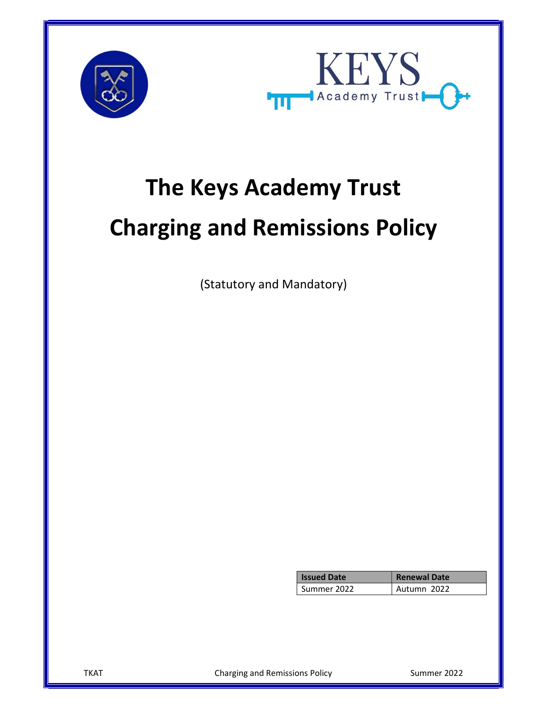



# The Keys Academy Trust Charging and Remissions Policy

(Statutory and Mandatory)

| <b>Issued Date</b> | <b>Renewal Date</b> |  |
|--------------------|---------------------|--|
| Summer 2022        | Autumn 2022         |  |

TKAT Charging and Remissions Policy Cummer 2022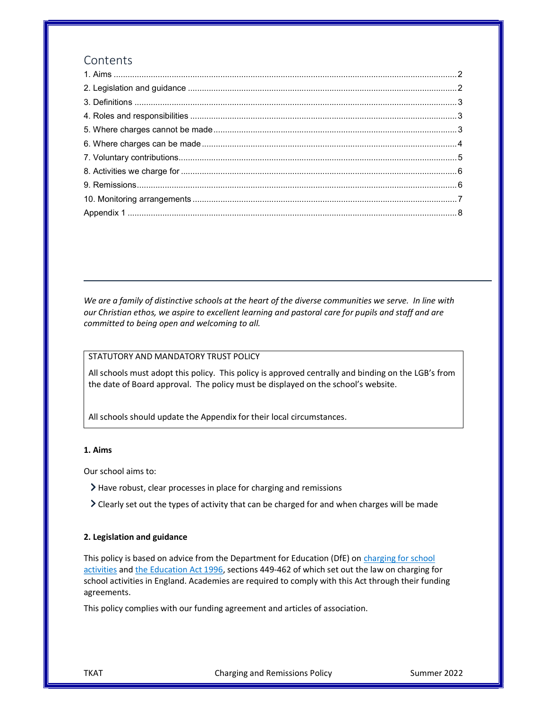# Contents

We are a family of distinctive schools at the heart of the diverse communities we serve. In line with our Christian ethos, we aspire to excellent learning and pastoral care for pupils and staff and are committed to being open and welcoming to all.

# STATUTORY AND MANDATORY TRUST POLICY

All schools must adopt this policy. This policy is approved centrally and binding on the LGB's from the date of Board approval. The policy must be displayed on the school's website.

All schools should update the Appendix for their local circumstances.

#### 1. Aims

Our school aims to:

- Have robust, clear processes in place for charging and remissions
- Clearly set out the types of activity that can be charged for and when charges will be made

#### 2. Legislation and guidance

This policy is based on advice from the Department for Education (DfE) on charging for school activities and the Education Act 1996, sections 449-462 of which set out the law on charging for school activities in England. Academies are required to comply with this Act through their funding agreements.

This policy complies with our funding agreement and articles of association.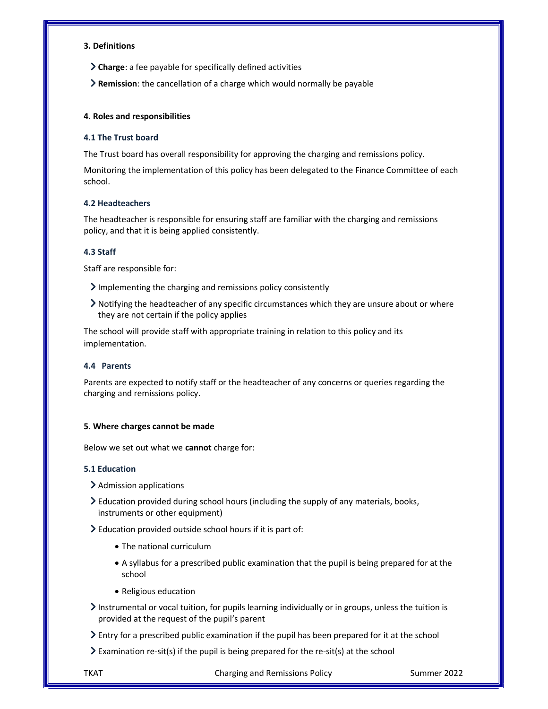#### 3. Definitions

- Charge: a fee payable for specifically defined activities
- Remission: the cancellation of a charge which would normally be payable

# 4. Roles and responsibilities

# 4.1 The Trust board

The Trust board has overall responsibility for approving the charging and remissions policy.

Monitoring the implementation of this policy has been delegated to the Finance Committee of each school.

#### 4.2 Headteachers

The headteacher is responsible for ensuring staff are familiar with the charging and remissions policy, and that it is being applied consistently.

# 4.3 Staff

Staff are responsible for:

- $\sum$  Implementing the charging and remissions policy consistently
- Notifying the headteacher of any specific circumstances which they are unsure about or where they are not certain if the policy applies

The school will provide staff with appropriate training in relation to this policy and its implementation.

# 4.4 Parents

Parents are expected to notify staff or the headteacher of any concerns or queries regarding the charging and remissions policy.

# 5. Where charges cannot be made

Below we set out what we cannot charge for:

# 5.1 Education

- > Admission applications
- Education provided during school hours (including the supply of any materials, books, instruments or other equipment)
- $\geq$  Education provided outside school hours if it is part of:
	- The national curriculum
	- A syllabus for a prescribed public examination that the pupil is being prepared for at the school
	- Religious education
- $\geq$  Instrumental or vocal tuition, for pupils learning individually or in groups, unless the tuition is provided at the request of the pupil's parent
- Entry for a prescribed public examination if the pupil has been prepared for it at the school
- $\geq$  Examination re-sit(s) if the pupil is being prepared for the re-sit(s) at the school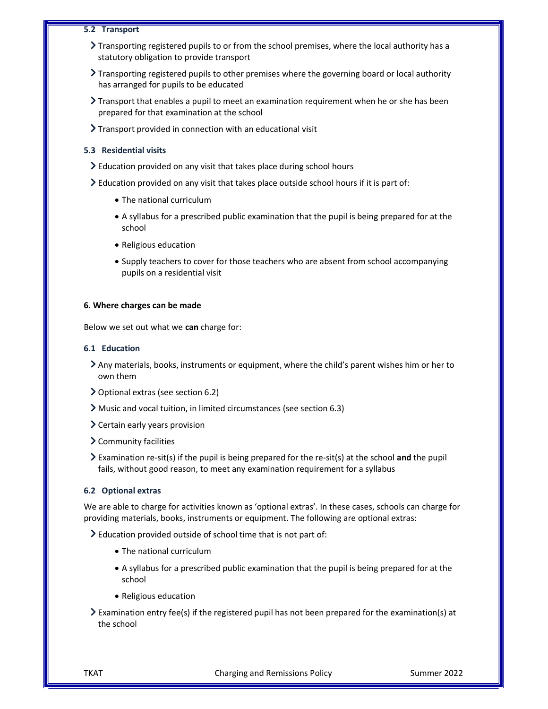#### 5.2 Transport

- $\sum$  Transporting registered pupils to or from the school premises, where the local authority has a statutory obligation to provide transport
- Transporting registered pupils to other premises where the governing board or local authority has arranged for pupils to be educated
- Transport that enables a pupil to meet an examination requirement when he or she has been prepared for that examination at the school
- > Transport provided in connection with an educational visit

#### 5.3 Residential visits

- $\geq$  Education provided on any visit that takes place during school hours
- Education provided on any visit that takes place outside school hours if it is part of:
	- The national curriculum
	- A syllabus for a prescribed public examination that the pupil is being prepared for at the school
	- Religious education
	- Supply teachers to cover for those teachers who are absent from school accompanying pupils on a residential visit

#### 6. Where charges can be made

Below we set out what we can charge for:

#### 6.1 Education

- Any materials, books, instruments or equipment, where the child's parent wishes him or her to own them
- Optional extras (see section 6.2)
- Music and vocal tuition, in limited circumstances (see section 6.3)
- $\geq$  Certain early years provision
- Community facilities
- $\geq$  Examination re-sit(s) if the pupil is being prepared for the re-sit(s) at the school and the pupil fails, without good reason, to meet any examination requirement for a syllabus

#### 6.2 Optional extras

We are able to charge for activities known as 'optional extras'. In these cases, schools can charge for providing materials, books, instruments or equipment. The following are optional extras:

Education provided outside of school time that is not part of:

- The national curriculum
- A syllabus for a prescribed public examination that the pupil is being prepared for at the school
- Religious education
- Examination entry fee(s) if the registered pupil has not been prepared for the examination(s) at the school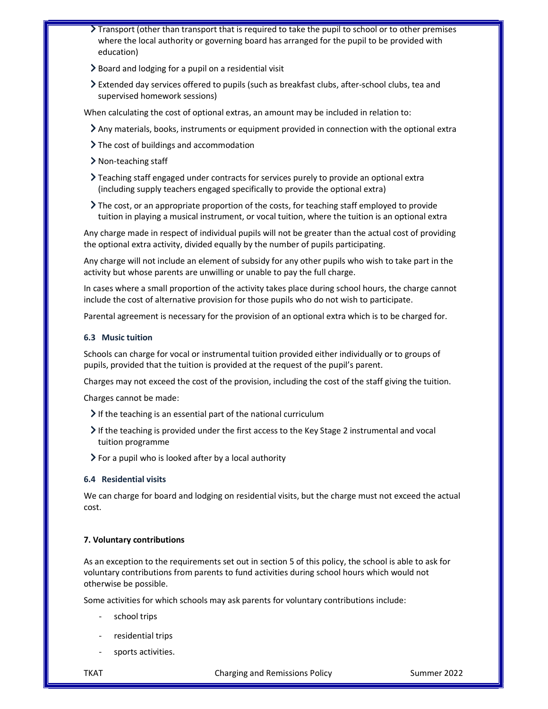- Transport (other than transport that is required to take the pupil to school or to other premises where the local authority or governing board has arranged for the pupil to be provided with education)
- $\geq$  Board and lodging for a pupil on a residential visit
- Extended day services offered to pupils (such as breakfast clubs, after-school clubs, tea and supervised homework sessions)

When calculating the cost of optional extras, an amount may be included in relation to:

- Any materials, books, instruments or equipment provided in connection with the optional extra
- If  $\sum$  The cost of buildings and accommodation
- > Non-teaching staff
- Teaching staff engaged under contracts for services purely to provide an optional extra (including supply teachers engaged specifically to provide the optional extra)
- The cost, or an appropriate proportion of the costs, for teaching staff employed to provide tuition in playing a musical instrument, or vocal tuition, where the tuition is an optional extra

Any charge made in respect of individual pupils will not be greater than the actual cost of providing the optional extra activity, divided equally by the number of pupils participating.

Any charge will not include an element of subsidy for any other pupils who wish to take part in the activity but whose parents are unwilling or unable to pay the full charge.

In cases where a small proportion of the activity takes place during school hours, the charge cannot include the cost of alternative provision for those pupils who do not wish to participate.

Parental agreement is necessary for the provision of an optional extra which is to be charged for.

# 6.3 Music tuition

Schools can charge for vocal or instrumental tuition provided either individually or to groups of pupils, provided that the tuition is provided at the request of the pupil's parent.

Charges may not exceed the cost of the provision, including the cost of the staff giving the tuition.

Charges cannot be made:

- $\triangleright$  If the teaching is an essential part of the national curriculum
- If the teaching is provided under the first access to the Key Stage 2 instrumental and vocal tuition programme
- $\triangleright$  For a pupil who is looked after by a local authority

# 6.4 Residential visits

We can charge for board and lodging on residential visits, but the charge must not exceed the actual cost.

# 7. Voluntary contributions

As an exception to the requirements set out in section 5 of this policy, the school is able to ask for voluntary contributions from parents to fund activities during school hours which would not otherwise be possible.

Some activities for which schools may ask parents for voluntary contributions include:

- school trips
- residential trips
- sports activities.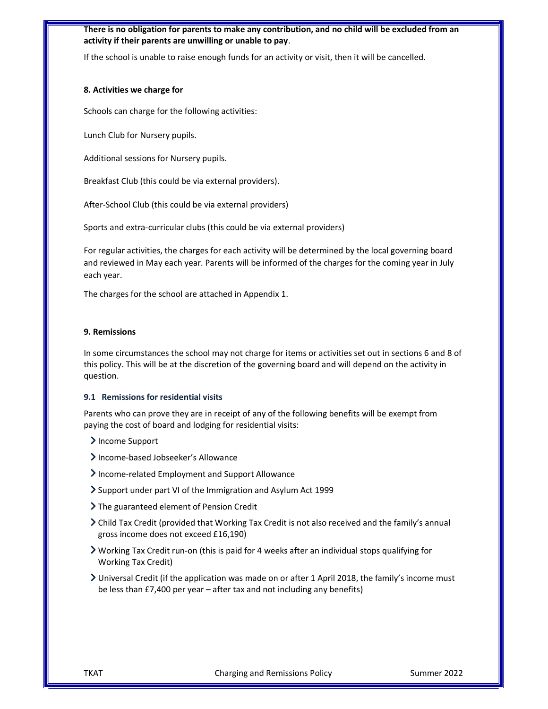# There is no obligation for parents to make any contribution, and no child will be excluded from an activity if their parents are unwilling or unable to pay.

If the school is unable to raise enough funds for an activity or visit, then it will be cancelled.

#### 8. Activities we charge for

Schools can charge for the following activities:

Lunch Club for Nursery pupils.

Additional sessions for Nursery pupils.

Breakfast Club (this could be via external providers).

After-School Club (this could be via external providers)

Sports and extra-curricular clubs (this could be via external providers)

For regular activities, the charges for each activity will be determined by the local governing board and reviewed in May each year. Parents will be informed of the charges for the coming year in July each year.

The charges for the school are attached in Appendix 1.

#### 9. Remissions

In some circumstances the school may not charge for items or activities set out in sections 6 and 8 of this policy. This will be at the discretion of the governing board and will depend on the activity in question.

#### 9.1 Remissions for residential visits

Parents who can prove they are in receipt of any of the following benefits will be exempt from paying the cost of board and lodging for residential visits:

- > Income Support
- > Income-based Jobseeker's Allowance
- Income-related Employment and Support Allowance
- Support under part VI of the Immigration and Asylum Act 1999
- > The guaranteed element of Pension Credit
- Child Tax Credit (provided that Working Tax Credit is not also received and the family's annual gross income does not exceed £16,190)
- Working Tax Credit run-on (this is paid for 4 weeks after an individual stops qualifying for Working Tax Credit)
- Universal Credit (if the application was made on or after 1 April 2018, the family's income must be less than £7,400 per year – after tax and not including any benefits)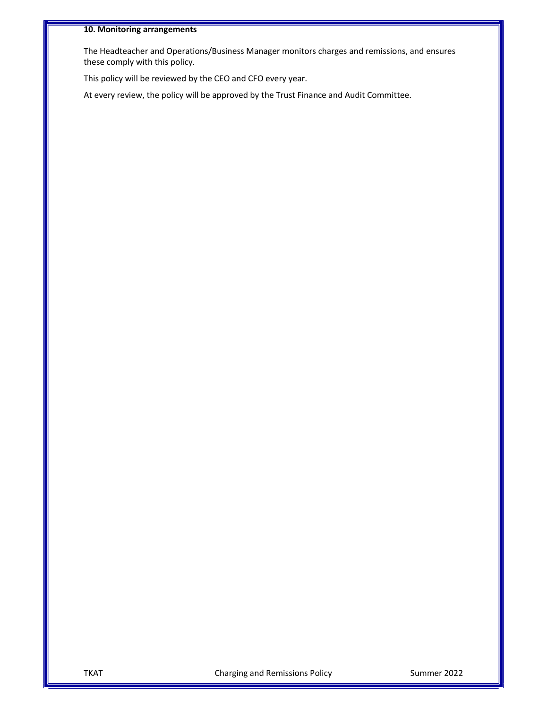# 10. Monitoring arrangements

The Headteacher and Operations/Business Manager monitors charges and remissions, and ensures these comply with this policy.

This policy will be reviewed by the CEO and CFO every year.

At every review, the policy will be approved by the Trust Finance and Audit Committee.